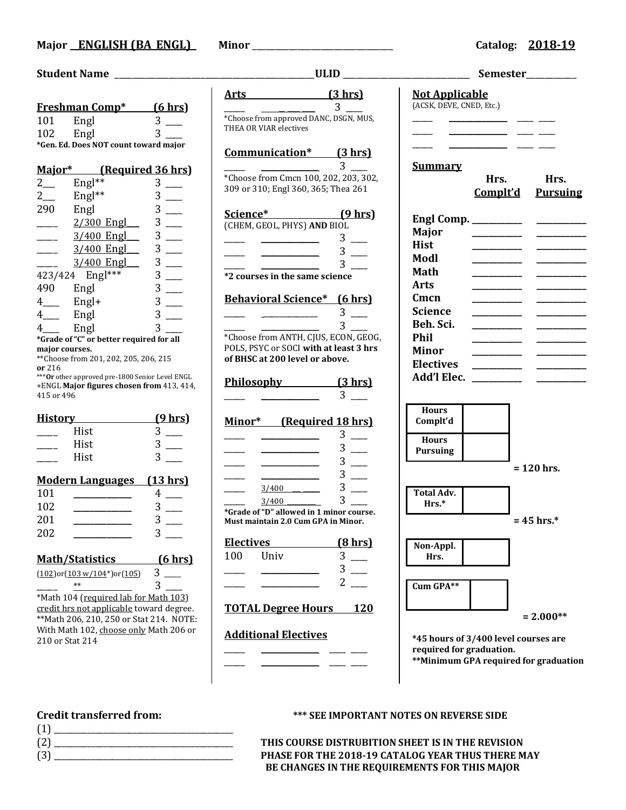## **Student Name** \_\_\_\_\_\_\_\_\_\_\_\_\_\_\_\_\_\_\_\_\_\_\_\_\_\_\_\_\_\_\_\_\_\_\_\_\_\_\_\_\_\_\_\_**ULID** \_\_\_\_\_\_\_\_\_\_\_\_\_\_\_\_\_\_\_\_\_\_\_\_\_\_\_\_ **Semester**\_\_\_\_\_\_\_\_\_\_\_

|                                          | <u>Freshman Comp*</u>                            | (6 hrs)            |  |
|------------------------------------------|--------------------------------------------------|--------------------|--|
| 101                                      | Engl                                             | 3                  |  |
| 102                                      | Engl                                             | 3                  |  |
|                                          | *Gen. Ed. Does NOT count toward major            |                    |  |
|                                          |                                                  |                    |  |
| Major*                                   | (Required 36 hrs)                                |                    |  |
| $2\overline{a}$                          | $English*$                                       | 3                  |  |
| $2\overline{a}$                          | Engl**                                           | 3                  |  |
| 290                                      | Engl                                             | 3                  |  |
|                                          | 2/300 Engl___                                    | 3                  |  |
|                                          | 3/400 Engl                                       | 3                  |  |
|                                          | $3/400$ Engl                                     | 3                  |  |
|                                          | $3/400$ Engl                                     | 3                  |  |
|                                          | 423/424 Engl***                                  | 3                  |  |
| 490 Engl                                 |                                                  | 3                  |  |
| $4$ <sub>———</sub>                       | Engl+                                            | 3                  |  |
|                                          | Engl                                             | 3                  |  |
| $4$ <sub>——</sub>                        |                                                  | 3                  |  |
| 4 <sub>___</sub> Engl                    | *Grade of "C" or better required for all         |                    |  |
| major courses.                           |                                                  |                    |  |
|                                          | ** Choose from 201, 202, 205, 206, 215           |                    |  |
| or 216                                   | *** Or other approved pre-1800 Senior Level ENGL |                    |  |
|                                          | +ENGL Major figures chosen from 413, 414,        |                    |  |
| 415 or 496                               |                                                  |                    |  |
| <u>History</u>                           |                                                  | <u>(9 hrs)</u>     |  |
|                                          | Hist                                             | 3                  |  |
|                                          |                                                  |                    |  |
|                                          | Hist                                             |                    |  |
|                                          | Hist                                             |                    |  |
|                                          | <b>Modern Languages</b>                          | $(13 \text{ hrs})$ |  |
| 101                                      |                                                  | 4                  |  |
| 102                                      |                                                  | 3                  |  |
| 201                                      |                                                  | 3                  |  |
| 202                                      |                                                  |                    |  |
|                                          |                                                  |                    |  |
|                                          | <u> Math/Statistics</u>                          | (6 hrs)            |  |
|                                          | (102)or(103 w/104*)or(105)                       | 3                  |  |
|                                          |                                                  | 3                  |  |
|                                          | *Math 104 (required lab for Math 103)            |                    |  |
|                                          | credit hrs not applicable toward degree.         |                    |  |
| ** Math 206, 210, 250 or Stat 214. NOTE: |                                                  |                    |  |
| With Math 102, choose only Math 206 or   |                                                  |                    |  |
| 210 or Stat 214                          |                                                  |                    |  |

## **Must maintain 2.0 Cum GPA in Minor.**  $\frac{2}{2}$ **TOTAL Degree Hours 120 Additional Electives** \_\_\_\_\_ \_\_\_\_\_\_\_\_\_\_\_\_\_\_ \_\_\_\_ \_\_\_\_ \_\_\_\_\_ \_\_\_\_\_\_\_\_\_\_\_\_\_\_ \_\_\_\_ \_\_\_\_

**Communication\* (3 hrs)**  $\overline{\mathbf{3}}$ \*Choose from Cmcn 100, 202, 203, 302, 309 or 310; Engl 360, 365; Thea 261 **Science\* (9 hrs)** (CHEM, GEOL, PHYS) **AND** BIOL  $\frac{3}{2}$  $\frac{1}{\sqrt{2\pi}}$   $\frac{1}{\sqrt{2\pi}}$   $\frac{3}{\sqrt{2\pi}}$  $\frac{1}{\sqrt{3}}$   $\frac{1}{\sqrt{3}}$   $\frac{1}{\sqrt{3}}$   $\frac{1}{\sqrt{3}}$   $\frac{1}{\sqrt{3}}$   $\frac{1}{\sqrt{3}}$   $\frac{1}{\sqrt{3}}$   $\frac{1}{\sqrt{3}}$   $\frac{1}{\sqrt{3}}$   $\frac{1}{\sqrt{3}}$   $\frac{1}{\sqrt{3}}$   $\frac{1}{\sqrt{3}}$   $\frac{1}{\sqrt{3}}$   $\frac{1}{\sqrt{3}}$   $\frac{1}{\sqrt{3}}$   $\frac{1}{\sqrt{3}}$   $\frac{1}{\sqrt{3}}$  **\*2 courses in the same science**

**Behavioral Science\* (6 hrs)**

**Arts (3 hrs)**  $\sim$  3  $\sim$ \*Choose from approved DANC, DSGN, MUS,

THEA OR VIAR electives

| $*$ Choose from ANTH CHIC ECON CE |  |  |  |  |
|-----------------------------------|--|--|--|--|

\*Choose from ANTH, CJUS, ECON, GEOG, POLS, PSYC or SOCI **with at least 3 hrs of BHSC at 200 level or above.**

| Philosophv | (3 hr) |
|------------|--------|
|            |        |

## **Minor\* (Required 18 hrs)**

|       | $\blacksquare$ |
|-------|----------------|
|       |                |
| 3/400 |                |

 $\frac{3/400}{\frac{3}{\sqrt{3}}}}$  3 **\*Grade of "D" allowed in 1 minor course.**

| Electives |      | (8 hrs) |
|-----------|------|---------|
| 100       | Univ |         |
|           |      |         |

# **Total Adv. Hrs.\* Non-Appl. Hrs. Cum GPA\*\***

**\*45 hours of 3/400 level courses are required for graduation. \*\*Minimum GPA required for graduation**

- (1) \_\_\_\_\_\_\_\_\_\_\_\_\_\_\_\_\_\_\_\_\_\_\_\_\_\_\_\_\_\_\_\_\_\_\_\_\_\_\_\_\_\_\_
- 

## **Credit transferred from: \*\*\* SEE IMPORTANT NOTES ON REVERSE SIDE**

(2) \_\_\_\_\_\_\_\_\_\_\_\_\_\_\_\_\_\_\_\_\_\_\_\_\_\_\_\_\_\_\_\_\_\_\_\_\_\_\_\_\_\_\_ **THIS COURSE DISTRUBITION SHEET IS IN THE REVISION** PHASE FOR THE 2018-19 CATALOG YEAR THUS THERE MAY  **BE CHANGES IN THE REQUIREMENTS FOR THIS MAJOR**

**Not Applicable**

| (ACSK, DEVE, CNED, Etc.)                                                                                                                                                                          |                  |              |                         |  |
|---------------------------------------------------------------------------------------------------------------------------------------------------------------------------------------------------|------------------|--------------|-------------------------|--|
|                                                                                                                                                                                                   |                  |              |                         |  |
| <b>Summary</b>                                                                                                                                                                                    | Hrs.<br>Complt'd |              | Hrs.<br><b>Pursuing</b> |  |
| Engl Comp. ________<br><b>Major</b><br><b>Hist</b><br>Modl<br><b>Math</b><br><b>Arts</b><br>Cmcn<br><b>Science</b><br>Beh. Sci.<br><b>Phil</b><br><b>Minor</b><br><b>Electives</b><br>Add'l Elec. |                  |              |                         |  |
| <b>Hours</b><br>Complt'd                                                                                                                                                                          |                  |              |                         |  |
| <b>Hours</b><br><b>Pursuing</b>                                                                                                                                                                   |                  |              |                         |  |
|                                                                                                                                                                                                   |                  |              | $= 120$ hrs.            |  |
| <b>Total Adv.</b><br>Hrs.*                                                                                                                                                                        |                  |              |                         |  |
|                                                                                                                                                                                                   |                  | $= 45$ hrs.* |                         |  |
| Non-Appl.<br>Hrs.                                                                                                                                                                                 |                  |              |                         |  |
| Cum GPA**                                                                                                                                                                                         |                  |              |                         |  |
|                                                                                                                                                                                                   |                  |              | $= 2.000**$             |  |